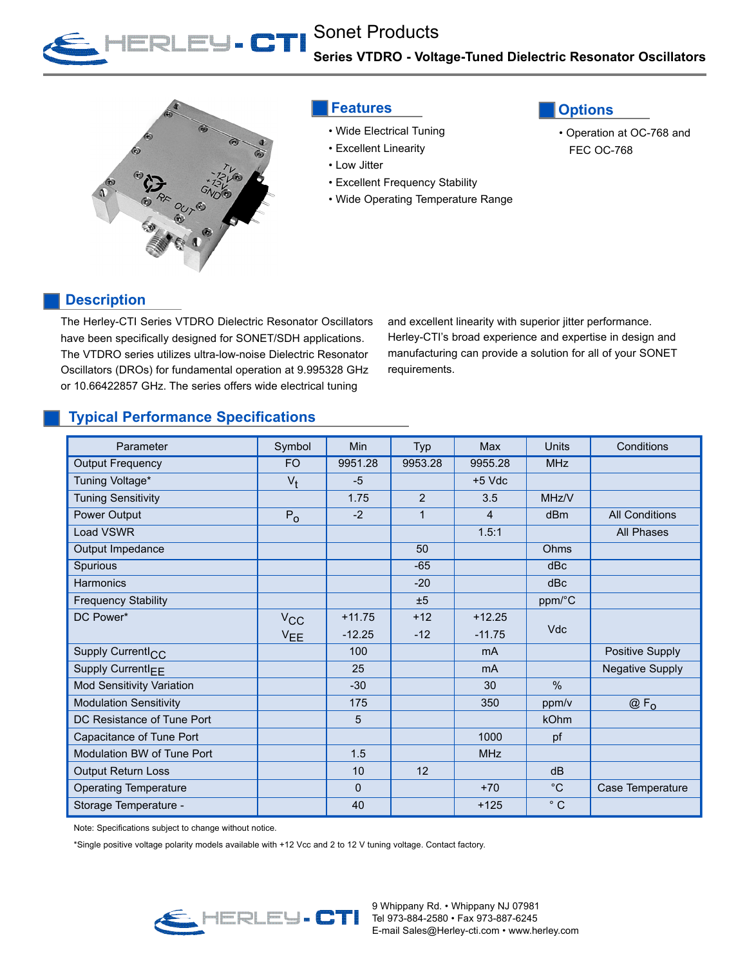



## **Features**

- Wide Electrical Tuning
- Excellent Linearity
- Low Jitter
- Excellent Frequency Stability
- Wide Operating Temperature Range



• Operation at OC-768 and FEC OC-768

## **Description**

The Herley-CTI Series VTDRO Dielectric Resonator Oscillators have been specifically designed for SONET/SDH applications. The VTDRO series utilizes ultra-low-noise Dielectric Resonator Oscillators (DROs) for fundamental operation at 9.995328 GHz or 10.66422857 GHz. The series offers wide electrical tuning

and excellent linearity with superior jitter performance. Herley-CTI's broad experience and expertise in design and manufacturing can provide a solution for all of your SONET requirements.

## **Typical Performance Specifications**

| Parameter                        | Symbol          | Min      | Typ            | Max            | Units        | Conditions             |
|----------------------------------|-----------------|----------|----------------|----------------|--------------|------------------------|
| <b>Output Frequency</b>          | <b>FO</b>       | 9951.28  | 9953.28        | 9955.28        | <b>MHz</b>   |                        |
| Tuning Voltage*                  | $V_{\dagger}$   | $-5$     |                | $+5$ Vdc       |              |                        |
| <b>Tuning Sensitivity</b>        |                 | 1.75     | $\overline{2}$ | 3.5            | MHz/V        |                        |
| Power Output                     | $P_{0}$         | $-2$     | 1              | 4              | dBm          | <b>All Conditions</b>  |
| Load VSWR                        |                 |          |                | 1.5:1          |              | All Phases             |
| Output Impedance                 |                 |          | 50             |                | Ohms         |                        |
| Spurious                         |                 |          | $-65$          |                | dBc          |                        |
| Harmonics                        |                 |          | $-20$          |                | dBc          |                        |
| <b>Frequency Stability</b>       |                 |          | ±5             |                | ppm/°C       |                        |
| DC Power*                        | $V_{\rm CC}$    | $+11.75$ | $+12$          | $+12.25$       |              |                        |
|                                  | V <sub>EE</sub> | $-12.25$ | $-12$          | $-11.75$       | <b>Vdc</b>   |                        |
| Supply Currentl <sub>CC</sub>    |                 | 100      |                | m <sub>A</sub> |              | Positive Supply        |
| Supply Currentl <sub>FF</sub>    |                 | 25       |                | m <sub>A</sub> |              | <b>Negative Supply</b> |
| <b>Mod Sensitivity Variation</b> |                 | $-30$    |                | 30             | $\%$         |                        |
| <b>Modulation Sensitivity</b>    |                 | 175      |                | 350            | ppm/v        | $@F_{0}$               |
| DC Resistance of Tune Port       |                 | 5        |                |                | kOhm         |                        |
| Capacitance of Tune Port         |                 |          |                | 1000           | pf           |                        |
| Modulation BW of Tune Port       |                 | 1.5      |                | <b>MHz</b>     |              |                        |
| Output Return Loss               |                 | 10       | 12             |                | dB           |                        |
| <b>Operating Temperature</b>     |                 | 0        |                | $+70$          | $^{\circ}$ C | Case Temperature       |
| Storage Temperature -            |                 | 40       |                | $+125$         | $^{\circ}$ C |                        |

Note: Specifications subject to change without notice.

\*Single positive voltage polarity models available with +12 Vcc and 2 to 12 V tuning voltage. Contact factory.